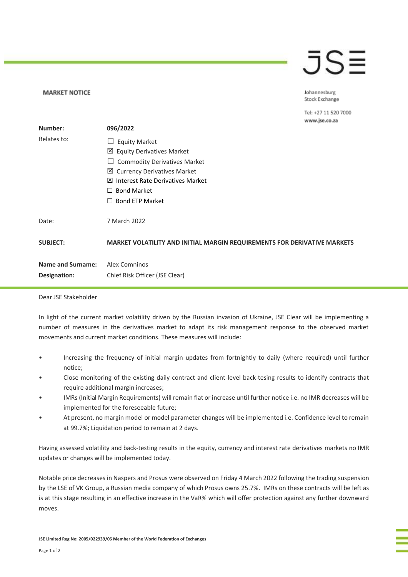## $\bar{J}S\bar{=}$

Johannesburg Stock Exchange

Tel: +27 11 520 7000

|                          |                                                                          | www.jse.co.za |
|--------------------------|--------------------------------------------------------------------------|---------------|
| Number:                  | 096/2022                                                                 |               |
| Relates to:              | <b>Equity Market</b><br>$\Box$                                           |               |
|                          | 凶 Equity Derivatives Market                                              |               |
|                          | <b>Commodity Derivatives Market</b>                                      |               |
|                          | 凶 Currency Derivatives Market                                            |               |
|                          | <b>⊠</b> Interest Rate Derivatives Market                                |               |
|                          | <b>Bond Market</b><br>$\Box$                                             |               |
|                          | <b>Bond ETP Market</b><br>$\perp$                                        |               |
| Date:                    | 7 March 2022                                                             |               |
| <b>SUBJECT:</b>          | MARKET VOLATILITY AND INITIAL MARGIN REQUIREMENTS FOR DERIVATIVE MARKETS |               |
| <b>Name and Surname:</b> | Alex Comninos                                                            |               |
| Designation:             | Chief Risk Officer (JSE Clear)                                           |               |
|                          |                                                                          |               |

Dear JSE Stakeholder

**MARKET NOTICE** 

In light of the current market volatility driven by the Russian invasion of Ukraine, JSE Clear will be implementing a number of measures in the derivatives market to adapt its risk management response to the observed market movements and current market conditions. These measures will include:

- Increasing the frequency of initial margin updates from fortnightly to daily (where required) until further notice;
- Close monitoring of the existing daily contract and client-level back-tesing results to identify contracts that require additional margin increases;
- IMRs (Initial Margin Requirements) will remain flat or increase until further notice i.e. no IMR decreases will be implemented for the foreseeable future;
- At present, no margin model or model parameter changes will be implemented i.e. Confidence level to remain at 99.7%; Liquidation period to remain at 2 days.

Having assessed volatility and back-testing results in the equity, currency and interest rate derivatives markets no IMR updates or changes will be implemented today.

Notable price decreases in Naspers and Prosus were observed on Friday 4 March 2022 following the trading suspension by the LSE of VK Group, a Russian media company of which Prosus owns 25.7%. IMRs on these contracts will be left as is at this stage resulting in an effective increase in the VaR% which will offer protection against any further downward moves.